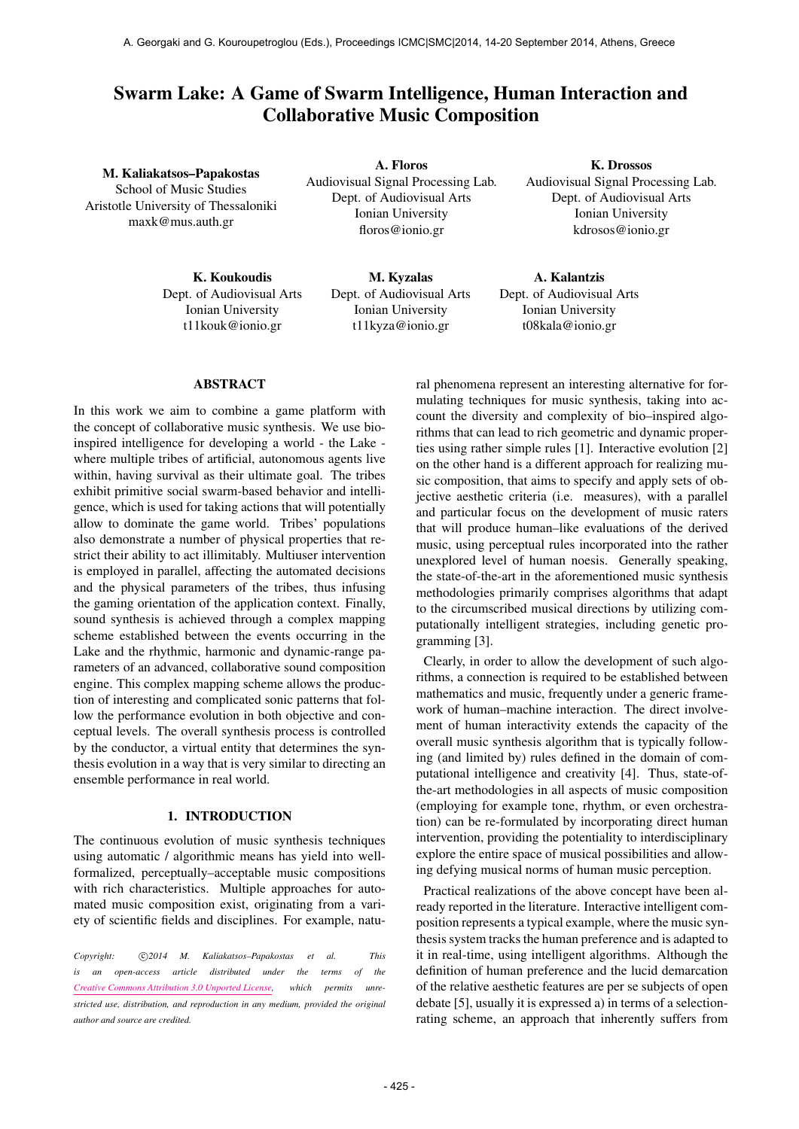# Swarm Lake: A Game of Swarm Intelligence, Human Interaction and Collaborative Music Composition

M. Kaliakatsos–Papakostas School of Music Studies Aristotle University of Thessaloniki [maxk@mus.auth.gr](mailto:maxk@mus.auth.gr)

> K. Koukoudis Dept. of Audiovisual Arts Ionian University [t11kouk@ionio.gr](mailto:t11kouk@ionio.gr)

A. Floros Audiovisual Signal Processing Lab. Dept. of Audiovisual Arts Ionian University [floros@ionio.gr](mailto:floros@ionio.gr)

> M. Kyzalas Dept. of Audiovisual Arts Ionian University [t11kyza@ionio.gr](mailto:t11kyza@ionio.gr)

K. Drossos Audiovisual Signal Processing Lab. Dept. of Audiovisual Arts Ionian University [kdrosos@ionio.gr](mailto:kdrosos@ionio.gr)

A. Kalantzis Dept. of Audiovisual Arts Ionian University [t08kala@ionio.gr](mailto:t08kala@ionio.gr)

### ABSTRACT

In this work we aim to combine a game platform with the concept of collaborative music synthesis. We use bioinspired intelligence for developing a world - the Lake where multiple tribes of artificial, autonomous agents live within, having survival as their ultimate goal. The tribes exhibit primitive social swarm-based behavior and intelligence, which is used for taking actions that will potentially allow to dominate the game world. Tribes' populations also demonstrate a number of physical properties that restrict their ability to act illimitably. Multiuser intervention is employed in parallel, affecting the automated decisions and the physical parameters of the tribes, thus infusing the gaming orientation of the application context. Finally, sound synthesis is achieved through a complex mapping scheme established between the events occurring in the Lake and the rhythmic, harmonic and dynamic-range parameters of an advanced, collaborative sound composition engine. This complex mapping scheme allows the production of interesting and complicated sonic patterns that follow the performance evolution in both objective and conceptual levels. The overall synthesis process is controlled by the conductor, a virtual entity that determines the synthesis evolution in a way that is very similar to directing an ensemble performance in real world.

# 1. INTRODUCTION

The continuous evolution of music synthesis techniques using automatic / algorithmic means has yield into wellformalized, perceptually–acceptable music compositions with rich characteristics. Multiple approaches for automated music composition exist, originating from a variety of scientific fields and disciplines. For example, natu-

Copyright:  $\bigcirc$ 2014 M. Kaliakatsos-Papakostas et al. This *is an open-access article distributed under the terms of the [Creative Commons Attribution 3.0 Unported License,](http://creativecommons.org/licenses/by/3.0/) which permits unrestricted use, distribution, and reproduction in any medium, provided the original author and source are credited.*

ral phenomena represent an interesting alternative for formulating techniques for music synthesis, taking into account the diversity and complexity of bio–inspired algorithms that can lead to rich geometric and dynamic properties using rather simple rules [1]. Interactive evolution [2] on the other hand is a different approach for realizing music composition, that aims to specify and apply sets of objective aesthetic criteria (i.e. measures), with a parallel and particular focus on the development of music raters that will produce human–like evaluations of the derived music, using perceptual rules incorporated into the rather unexplored level of human noesis. Generally speaking, the state-of-the-art in the aforementioned music synthesis methodologies primarily comprises algorithms that adapt to the circumscribed musical directions by utilizing computationally intelligent strategies, including genetic programming [3].

Clearly, in order to allow the development of such algorithms, a connection is required to be established between mathematics and music, frequently under a generic framework of human–machine interaction. The direct involvement of human interactivity extends the capacity of the overall music synthesis algorithm that is typically following (and limited by) rules defined in the domain of computational intelligence and creativity [4]. Thus, state-ofthe-art methodologies in all aspects of music composition (employing for example tone, rhythm, or even orchestration) can be re-formulated by incorporating direct human intervention, providing the potentiality to interdisciplinary explore the entire space of musical possibilities and allowing defying musical norms of human music perception.

Practical realizations of the above concept have been already reported in the literature. Interactive intelligent composition represents a typical example, where the music synthesis system tracks the human preference and is adapted to it in real-time, using intelligent algorithms. Although the definition of human preference and the lucid demarcation of the relative aesthetic features are per se subjects of open debate [5], usually it is expressed a) in terms of a selectionrating scheme, an approach that inherently suffers from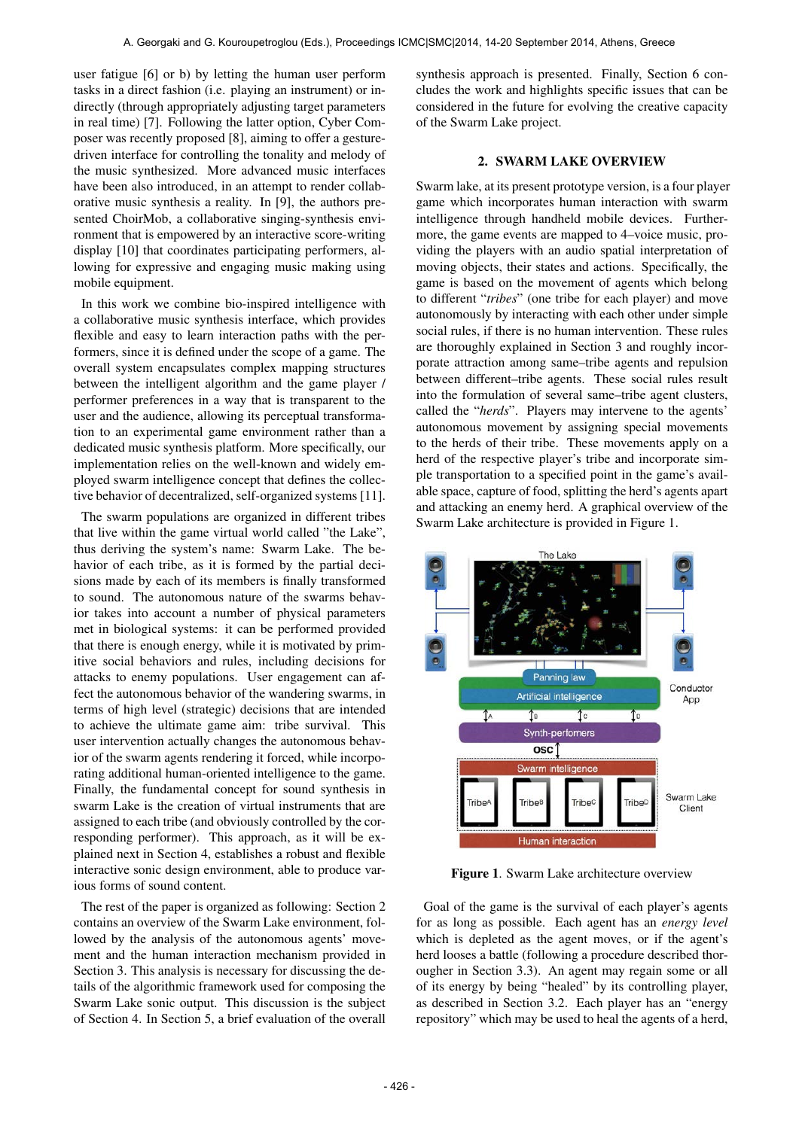user fatigue [6] or b) by letting the human user perform tasks in a direct fashion (i.e. playing an instrument) or indirectly (through appropriately adjusting target parameters in real time) [7]. Following the latter option, Cyber Composer was recently proposed [8], aiming to offer a gesturedriven interface for controlling the tonality and melody of the music synthesized. More advanced music interfaces have been also introduced, in an attempt to render collaborative music synthesis a reality. In [9], the authors presented ChoirMob, a collaborative singing-synthesis environment that is empowered by an interactive score-writing display [10] that coordinates participating performers, allowing for expressive and engaging music making using mobile equipment.

In this work we combine bio-inspired intelligence with a collaborative music synthesis interface, which provides flexible and easy to learn interaction paths with the performers, since it is defined under the scope of a game. The overall system encapsulates complex mapping structures between the intelligent algorithm and the game player / performer preferences in a way that is transparent to the user and the audience, allowing its perceptual transformation to an experimental game environment rather than a dedicated music synthesis platform. More specifically, our implementation relies on the well-known and widely employed swarm intelligence concept that defines the collective behavior of decentralized, self-organized systems [11].

The swarm populations are organized in different tribes that live within the game virtual world called "the Lake", thus deriving the system's name: Swarm Lake. The behavior of each tribe, as it is formed by the partial decisions made by each of its members is finally transformed to sound. The autonomous nature of the swarms behavior takes into account a number of physical parameters met in biological systems: it can be performed provided that there is enough energy, while it is motivated by primitive social behaviors and rules, including decisions for attacks to enemy populations. User engagement can affect the autonomous behavior of the wandering swarms, in terms of high level (strategic) decisions that are intended to achieve the ultimate game aim: tribe survival. This user intervention actually changes the autonomous behavior of the swarm agents rendering it forced, while incorporating additional human-oriented intelligence to the game. Finally, the fundamental concept for sound synthesis in swarm Lake is the creation of virtual instruments that are assigned to each tribe (and obviously controlled by the corresponding performer). This approach, as it will be explained next in Section 4, establishes a robust and flexible interactive sonic design environment, able to produce various forms of sound content.

The rest of the paper is organized as following: Section 2 contains an overview of the Swarm Lake environment, followed by the analysis of the autonomous agents' movement and the human interaction mechanism provided in Section 3. This analysis is necessary for discussing the details of the algorithmic framework used for composing the Swarm Lake sonic output. This discussion is the subject of Section 4. In Section 5, a brief evaluation of the overall synthesis approach is presented. Finally, Section 6 concludes the work and highlights specific issues that can be considered in the future for evolving the creative capacity of the Swarm Lake project.

#### 2. SWARM LAKE OVERVIEW

Swarm lake, at its present prototype version, is a four player game which incorporates human interaction with swarm intelligence through handheld mobile devices. Furthermore, the game events are mapped to 4–voice music, providing the players with an audio spatial interpretation of moving objects, their states and actions. Specifically, the game is based on the movement of agents which belong to different "*tribes*" (one tribe for each player) and move autonomously by interacting with each other under simple social rules, if there is no human intervention. These rules are thoroughly explained in Section 3 and roughly incorporate attraction among same–tribe agents and repulsion between different–tribe agents. These social rules result into the formulation of several same–tribe agent clusters, called the "*herds*". Players may intervene to the agents' autonomous movement by assigning special movements to the herds of their tribe. These movements apply on a herd of the respective player's tribe and incorporate simple transportation to a specified point in the game's available space, capture of food, splitting the herd's agents apart and attacking an enemy herd. A graphical overview of the Swarm Lake architecture is provided in Figure 1.



Figure 1. Swarm Lake architecture overview

Goal of the game is the survival of each player's agents for as long as possible. Each agent has an *energy level* which is depleted as the agent moves, or if the agent's herd looses a battle (following a procedure described thorougher in Section 3.3). An agent may regain some or all of its energy by being "healed" by its controlling player, as described in Section 3.2. Each player has an "energy repository" which may be used to heal the agents of a herd,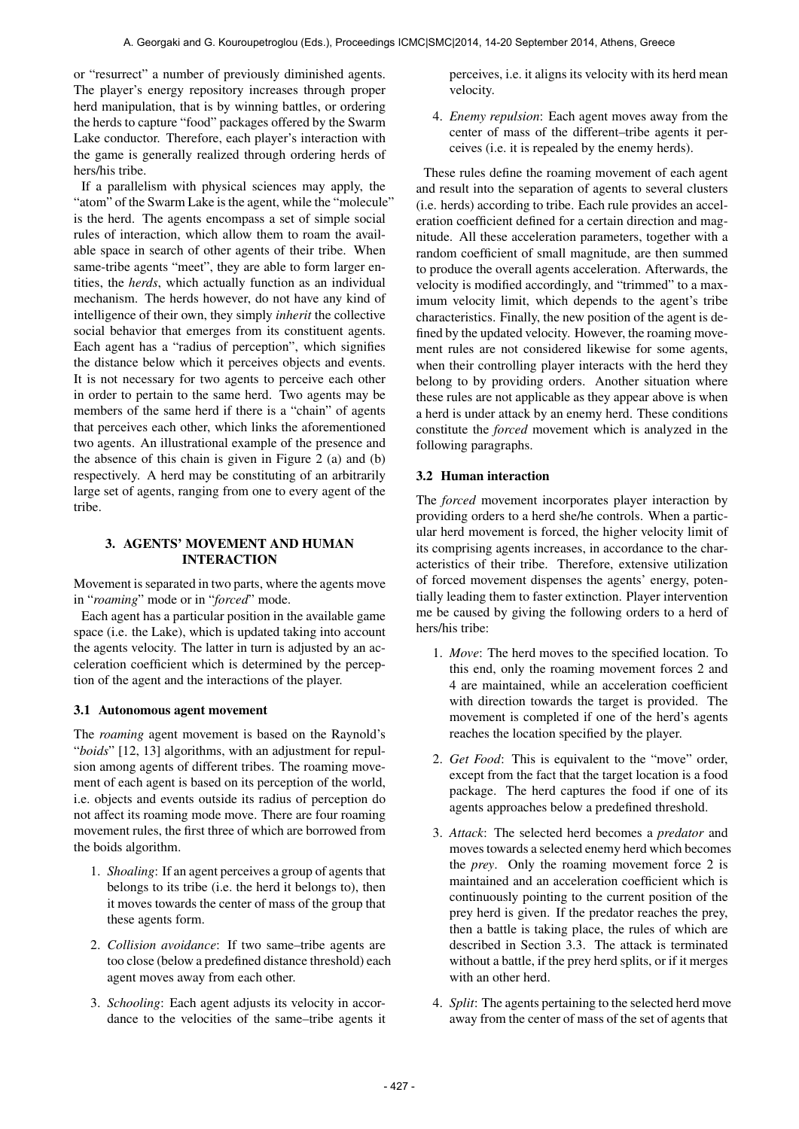or "resurrect" a number of previously diminished agents. The player's energy repository increases through proper herd manipulation, that is by winning battles, or ordering the herds to capture "food" packages offered by the Swarm Lake conductor. Therefore, each player's interaction with the game is generally realized through ordering herds of hers/his tribe.

If a parallelism with physical sciences may apply, the "atom" of the Swarm Lake is the agent, while the "molecule" is the herd. The agents encompass a set of simple social rules of interaction, which allow them to roam the available space in search of other agents of their tribe. When same-tribe agents "meet", they are able to form larger entities, the *herds*, which actually function as an individual mechanism. The herds however, do not have any kind of intelligence of their own, they simply *inherit* the collective social behavior that emerges from its constituent agents. Each agent has a "radius of perception", which signifies the distance below which it perceives objects and events. It is not necessary for two agents to perceive each other in order to pertain to the same herd. Two agents may be members of the same herd if there is a "chain" of agents that perceives each other, which links the aforementioned two agents. An illustrational example of the presence and the absence of this chain is given in Figure 2 (a) and (b) respectively. A herd may be constituting of an arbitrarily large set of agents, ranging from one to every agent of the tribe.

# 3. AGENTS' MOVEMENT AND HUMAN INTERACTION

Movement is separated in two parts, where the agents move in "*roaming*" mode or in "*forced*" mode.

Each agent has a particular position in the available game space (i.e. the Lake), which is updated taking into account the agents velocity. The latter in turn is adjusted by an acceleration coefficient which is determined by the perception of the agent and the interactions of the player.

# 3.1 Autonomous agent movement

The *roaming* agent movement is based on the Raynold's "*boids*" [12, 13] algorithms, with an adjustment for repulsion among agents of different tribes. The roaming movement of each agent is based on its perception of the world, i.e. objects and events outside its radius of perception do not affect its roaming mode move. There are four roaming movement rules, the first three of which are borrowed from the boids algorithm.

- 1. *Shoaling*: If an agent perceives a group of agents that belongs to its tribe (i.e. the herd it belongs to), then it moves towards the center of mass of the group that these agents form.
- 2. *Collision avoidance*: If two same–tribe agents are too close (below a predefined distance threshold) each agent moves away from each other.
- 3. *Schooling*: Each agent adjusts its velocity in accordance to the velocities of the same–tribe agents it

perceives, i.e. it aligns its velocity with its herd mean velocity.

4. *Enemy repulsion*: Each agent moves away from the center of mass of the different–tribe agents it perceives (i.e. it is repealed by the enemy herds).

These rules define the roaming movement of each agent and result into the separation of agents to several clusters (i.e. herds) according to tribe. Each rule provides an acceleration coefficient defined for a certain direction and magnitude. All these acceleration parameters, together with a random coefficient of small magnitude, are then summed to produce the overall agents acceleration. Afterwards, the velocity is modified accordingly, and "trimmed" to a maximum velocity limit, which depends to the agent's tribe characteristics. Finally, the new position of the agent is defined by the updated velocity. However, the roaming movement rules are not considered likewise for some agents, when their controlling player interacts with the herd they belong to by providing orders. Another situation where these rules are not applicable as they appear above is when a herd is under attack by an enemy herd. These conditions constitute the *forced* movement which is analyzed in the following paragraphs.

# 3.2 Human interaction

The *forced* movement incorporates player interaction by providing orders to a herd she/he controls. When a particular herd movement is forced, the higher velocity limit of its comprising agents increases, in accordance to the characteristics of their tribe. Therefore, extensive utilization of forced movement dispenses the agents' energy, potentially leading them to faster extinction. Player intervention me be caused by giving the following orders to a herd of hers/his tribe:

- 1. *Move*: The herd moves to the specified location. To this end, only the roaming movement forces 2 and 4 are maintained, while an acceleration coefficient with direction towards the target is provided. The movement is completed if one of the herd's agents reaches the location specified by the player.
- 2. *Get Food*: This is equivalent to the "move" order, except from the fact that the target location is a food package. The herd captures the food if one of its agents approaches below a predefined threshold.
- 3. *Attack*: The selected herd becomes a *predator* and moves towards a selected enemy herd which becomes the *prey*. Only the roaming movement force 2 is maintained and an acceleration coefficient which is continuously pointing to the current position of the prey herd is given. If the predator reaches the prey, then a battle is taking place, the rules of which are described in Section 3.3. The attack is terminated without a battle, if the prey herd splits, or if it merges with an other herd.
- 4. *Split*: The agents pertaining to the selected herd move away from the center of mass of the set of agents that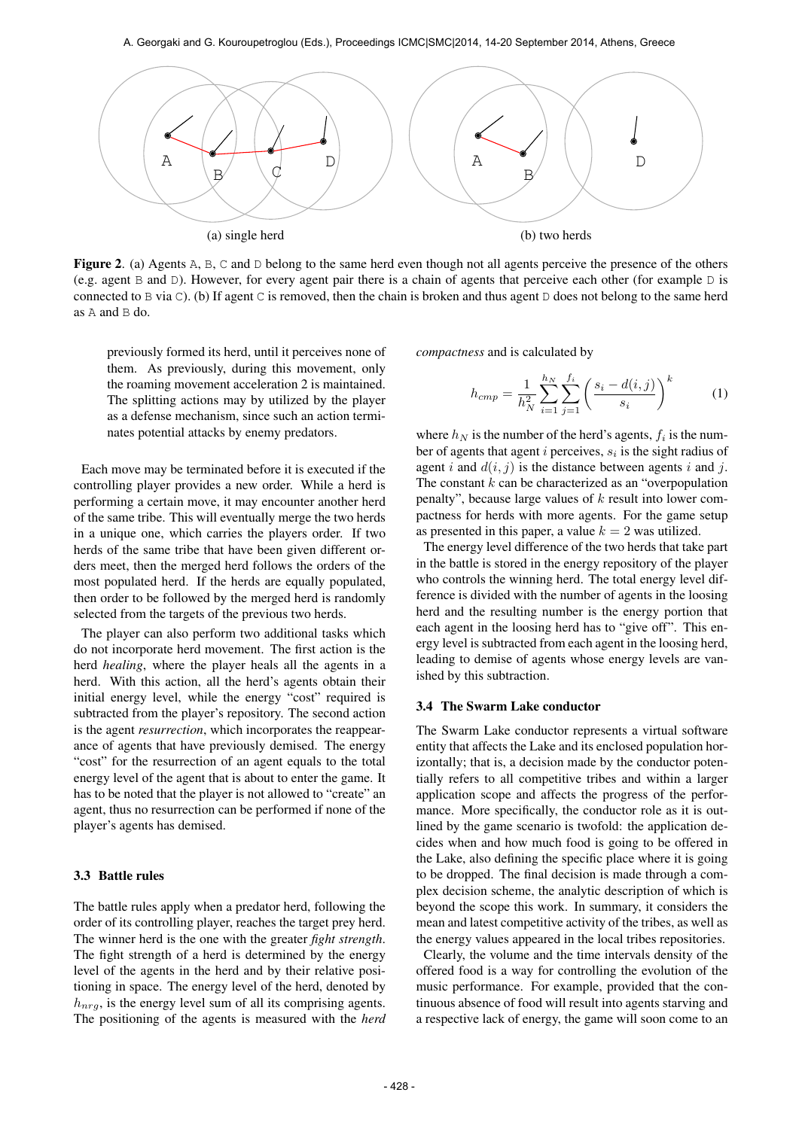

Figure 2. (a) Agents A, B, C and D belong to the same herd even though not all agents perceive the presence of the others (e.g. agent B and D). However, for every agent pair there is a chain of agents that perceive each other (for example D is connected to B via C). (b) If agent C is removed, then the chain is broken and thus agent D does not belong to the same herd as A and B do.

previously formed its herd, until it perceives none of them. As previously, during this movement, only the roaming movement acceleration 2 is maintained. The splitting actions may by utilized by the player as a defense mechanism, since such an action terminates potential attacks by enemy predators.

Each move may be terminated before it is executed if the controlling player provides a new order. While a herd is performing a certain move, it may encounter another herd of the same tribe. This will eventually merge the two herds in a unique one, which carries the players order. If two herds of the same tribe that have been given different orders meet, then the merged herd follows the orders of the most populated herd. If the herds are equally populated, then order to be followed by the merged herd is randomly selected from the targets of the previous two herds.

The player can also perform two additional tasks which do not incorporate herd movement. The first action is the herd *healing*, where the player heals all the agents in a herd. With this action, all the herd's agents obtain their initial energy level, while the energy "cost" required is subtracted from the player's repository. The second action is the agent *resurrection*, which incorporates the reappearance of agents that have previously demised. The energy "cost" for the resurrection of an agent equals to the total energy level of the agent that is about to enter the game. It has to be noted that the player is not allowed to "create" an agent, thus no resurrection can be performed if none of the player's agents has demised.

#### 3.3 Battle rules

The battle rules apply when a predator herd, following the order of its controlling player, reaches the target prey herd. The winner herd is the one with the greater *fight strength*. The fight strength of a herd is determined by the energy level of the agents in the herd and by their relative positioning in space. The energy level of the herd, denoted by  $h_{nrg}$ , is the energy level sum of all its comprising agents. The positioning of the agents is measured with the *herd* *compactness* and is calculated by

$$
h_{cmp} = \frac{1}{h_N^2} \sum_{i=1}^{h_N} \sum_{j=1}^{f_i} \left( \frac{s_i - d(i,j)}{s_i} \right)^k \tag{1}
$$

where  $h_N$  is the number of the herd's agents,  $f_i$  is the number of agents that agent i perceives,  $s_i$  is the sight radius of agent i and  $d(i, j)$  is the distance between agents i and j. The constant  $k$  can be characterized as an "overpopulation" penalty", because large values of  $k$  result into lower compactness for herds with more agents. For the game setup as presented in this paper, a value  $k = 2$  was utilized.

The energy level difference of the two herds that take part in the battle is stored in the energy repository of the player who controls the winning herd. The total energy level difference is divided with the number of agents in the loosing herd and the resulting number is the energy portion that each agent in the loosing herd has to "give off". This energy level is subtracted from each agent in the loosing herd, leading to demise of agents whose energy levels are vanished by this subtraction.

#### 3.4 The Swarm Lake conductor

The Swarm Lake conductor represents a virtual software entity that affects the Lake and its enclosed population horizontally; that is, a decision made by the conductor potentially refers to all competitive tribes and within a larger application scope and affects the progress of the performance. More specifically, the conductor role as it is outlined by the game scenario is twofold: the application decides when and how much food is going to be offered in the Lake, also defining the specific place where it is going to be dropped. The final decision is made through a complex decision scheme, the analytic description of which is beyond the scope this work. In summary, it considers the mean and latest competitive activity of the tribes, as well as the energy values appeared in the local tribes repositories.

Clearly, the volume and the time intervals density of the offered food is a way for controlling the evolution of the music performance. For example, provided that the continuous absence of food will result into agents starving and a respective lack of energy, the game will soon come to an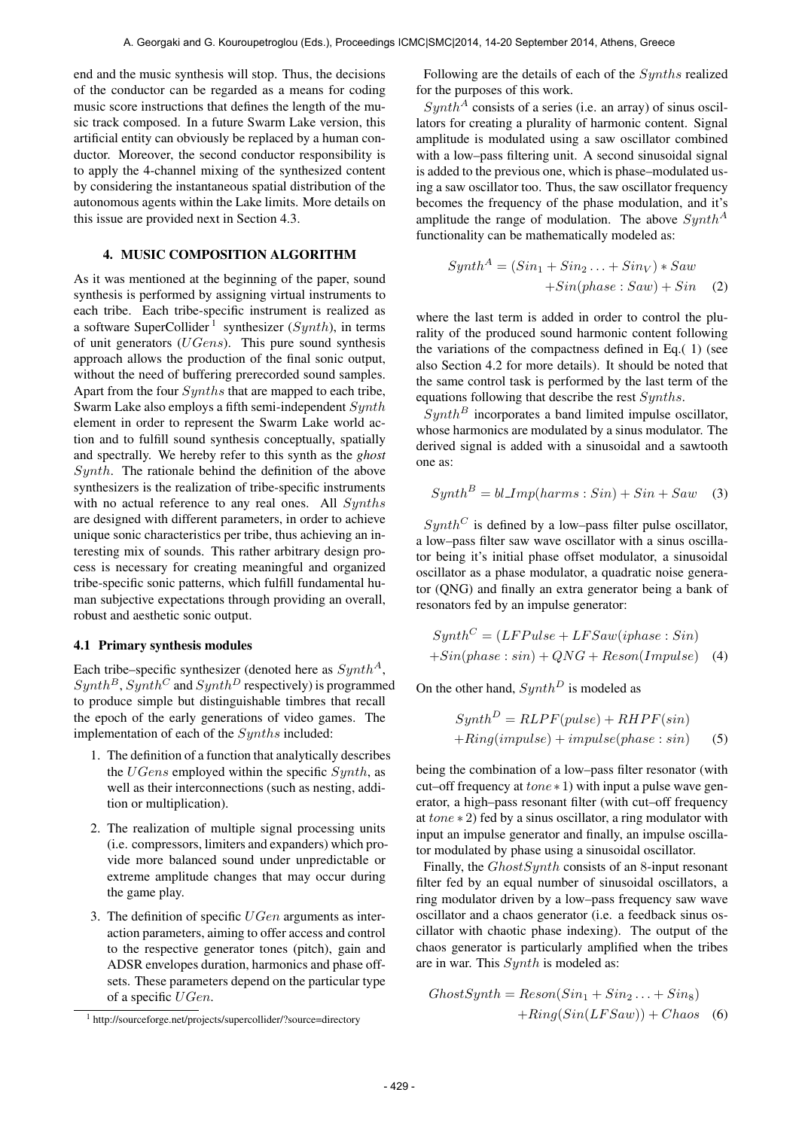end and the music synthesis will stop. Thus, the decisions of the conductor can be regarded as a means for coding music score instructions that defines the length of the music track composed. In a future Swarm Lake version, this artificial entity can obviously be replaced by a human conductor. Moreover, the second conductor responsibility is to apply the 4-channel mixing of the synthesized content by considering the instantaneous spatial distribution of the autonomous agents within the Lake limits. More details on this issue are provided next in Section 4.3.

# 4. MUSIC COMPOSITION ALGORITHM

As it was mentioned at the beginning of the paper, sound synthesis is performed by assigning virtual instruments to each tribe. Each tribe-specific instrument is realized as a software SuperCollider<sup>1</sup> synthesizer ( $Synth$ ), in terms of unit generators  $(UGens)$ . This pure sound synthesis approach allows the production of the final sonic output, without the need of buffering prerecorded sound samples. Apart from the four Synths that are mapped to each tribe, Swarm Lake also employs a fifth semi-independent Synth element in order to represent the Swarm Lake world action and to fulfill sound synthesis conceptually, spatially and spectrally. We hereby refer to this synth as the *ghost*  $Synth$ . The rationale behind the definition of the above synthesizers is the realization of tribe-specific instruments with no actual reference to any real ones. All Synths are designed with different parameters, in order to achieve unique sonic characteristics per tribe, thus achieving an interesting mix of sounds. This rather arbitrary design process is necessary for creating meaningful and organized tribe-specific sonic patterns, which fulfill fundamental human subjective expectations through providing an overall, robust and aesthetic sonic output.

#### 4.1 Primary synthesis modules

Each tribe–specific synthesizer (denoted here as  $Sunth<sup>A</sup>$ ,  $Synth^B$ ,  $Synth^C$  and  $Synth^D$  respectively) is programmed to produce simple but distinguishable timbres that recall the epoch of the early generations of video games. The implementation of each of the Synths included:

- 1. The definition of a function that analytically describes the  $UGens$  employed within the specific  $Synth$ , as well as their interconnections (such as nesting, addition or multiplication).
- 2. The realization of multiple signal processing units (i.e. compressors, limiters and expanders) which provide more balanced sound under unpredictable or extreme amplitude changes that may occur during the game play.
- 3. The definition of specific  $UGen$  arguments as interaction parameters, aiming to offer access and control to the respective generator tones (pitch), gain and ADSR envelopes duration, harmonics and phase offsets. These parameters depend on the particular type of a specific UGen.

Following are the details of each of the Synths realized for the purposes of this work.

 $Synth^A$  consists of a series (i.e. an array) of sinus oscillators for creating a plurality of harmonic content. Signal amplitude is modulated using a saw oscillator combined with a low–pass filtering unit. A second sinusoidal signal is added to the previous one, which is phase–modulated using a saw oscillator too. Thus, the saw oscillator frequency becomes the frequency of the phase modulation, and it's amplitude the range of modulation. The above  $Synth^A$ functionality can be mathematically modeled as:

$$
SynthA = (Sin1 + Sin2 ... + SinV) * Saw +Sin(phase : Saw) + Sin (2)
$$

where the last term is added in order to control the plurality of the produced sound harmonic content following the variations of the compactness defined in Eq.( 1) (see also Section 4.2 for more details). It should be noted that the same control task is performed by the last term of the equations following that describe the rest Synths.

 $Synth^B$  incorporates a band limited impulse oscillator, whose harmonics are modulated by a sinus modulator. The derived signal is added with a sinusoidal and a sawtooth one as:

$$
Synth^B = bl\_\_Imp(harms: Sin) + Sin + Saw \quad (3)
$$

 $Synth^C$  is defined by a low–pass filter pulse oscillator, a low–pass filter saw wave oscillator with a sinus oscillator being it's initial phase offset modulator, a sinusoidal oscillator as a phase modulator, a quadratic noise generator (QNG) and finally an extra generator being a bank of resonators fed by an impulse generator:

$$
SynthC = (LFPulse + LFSaw (iphase : Sin)
$$

$$
+Sin(phase : sin) + QNG + Reson(Impulse)
$$
 (4)

On the other hand,  $Synth^D$  is modeled as

$$
SynthD = RLPF(pulse) + RHPF(sin)+Ring(impulse) + impulse(phase: sin)
$$
 (5)

being the combination of a low–pass filter resonator (with cut–off frequency at  $tone * 1$ ) with input a pulse wave generator, a high–pass resonant filter (with cut–off frequency at tone ∗ 2) fed by a sinus oscillator, a ring modulator with input an impulse generator and finally, an impulse oscillator modulated by phase using a sinusoidal oscillator.

Finally, the *GhostSynth* consists of an 8-input resonant filter fed by an equal number of sinusoidal oscillators, a ring modulator driven by a low–pass frequency saw wave oscillator and a chaos generator (i.e. a feedback sinus oscillator with chaotic phase indexing). The output of the chaos generator is particularly amplified when the tribes are in war. This Synth is modeled as:

$$
GhostSynth = Reson(Sin1 + Sin2... + Sin8)
$$

$$
+ Ring(Sin(LFSaw)) + Chaos \quad (6)
$$

<sup>&</sup>lt;sup>1</sup> http://sourceforge.net/projects/supercollider/?source=directory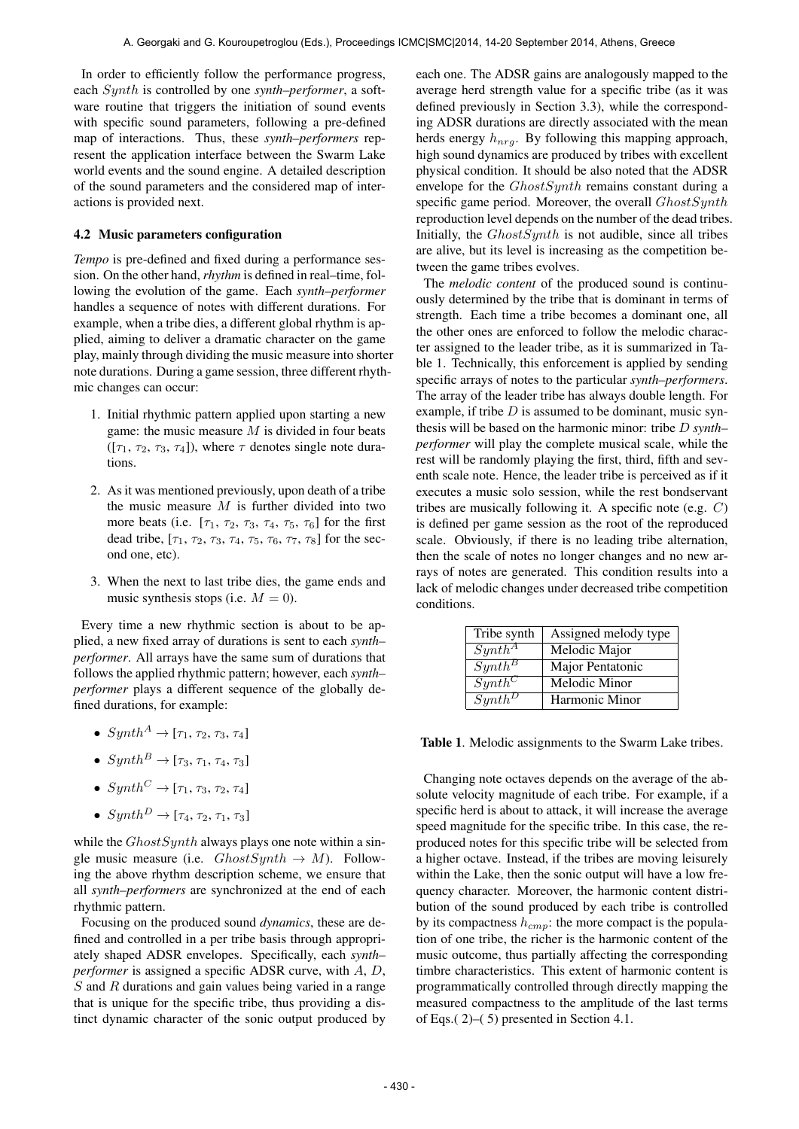In order to efficiently follow the performance progress, each Synth is controlled by one *synth–performer*, a software routine that triggers the initiation of sound events with specific sound parameters, following a pre-defined map of interactions. Thus, these *synth–performers* represent the application interface between the Swarm Lake world events and the sound engine. A detailed description of the sound parameters and the considered map of interactions is provided next.

### 4.2 Music parameters configuration

*Tempo* is pre-defined and fixed during a performance session. On the other hand, *rhythm* is defined in real–time, following the evolution of the game. Each *synth–performer* handles a sequence of notes with different durations. For example, when a tribe dies, a different global rhythm is applied, aiming to deliver a dramatic character on the game play, mainly through dividing the music measure into shorter note durations. During a game session, three different rhythmic changes can occur:

- 1. Initial rhythmic pattern applied upon starting a new game: the music measure  $M$  is divided in four beats  $([\tau_1, \tau_2, \tau_3, \tau_4])$ , where  $\tau$  denotes single note durations.
- 2. As it was mentioned previously, upon death of a tribe the music measure  $M$  is further divided into two more beats (i.e.  $[\tau_1, \tau_2, \tau_3, \tau_4, \tau_5, \tau_6]$  for the first dead tribe,  $[\tau_1, \tau_2, \tau_3, \tau_4, \tau_5, \tau_6, \tau_7, \tau_8]$  for the second one, etc).
- 3. When the next to last tribe dies, the game ends and music synthesis stops (i.e.  $M = 0$ ).

Every time a new rhythmic section is about to be applied, a new fixed array of durations is sent to each *synth– performer*. All arrays have the same sum of durations that follows the applied rhythmic pattern; however, each *synth– performer* plays a different sequence of the globally defined durations, for example:

- $Synth^A \rightarrow [\tau_1, \tau_2, \tau_3, \tau_4]$
- $Sunth^B \rightarrow [\tau_3, \tau_1, \tau_4, \tau_3]$
- $Synth^C \rightarrow [\tau_1, \tau_3, \tau_2, \tau_4]$
- $Synth^D \rightarrow [\tau_4, \tau_2, \tau_1, \tau_3]$

while the  $GhostSynth$  always plays one note within a single music measure (i.e.  $ChostSynth \rightarrow M$ ). Following the above rhythm description scheme, we ensure that all *synth–performers* are synchronized at the end of each rhythmic pattern.

Focusing on the produced sound *dynamics*, these are defined and controlled in a per tribe basis through appropriately shaped ADSR envelopes. Specifically, each *synth– performer* is assigned a specific ADSR curve, with A, D,  $S$  and  $R$  durations and gain values being varied in a range that is unique for the specific tribe, thus providing a distinct dynamic character of the sonic output produced by each one. The ADSR gains are analogously mapped to the average herd strength value for a specific tribe (as it was defined previously in Section 3.3), while the corresponding ADSR durations are directly associated with the mean herds energy  $h_{nrg}$ . By following this mapping approach, high sound dynamics are produced by tribes with excellent physical condition. It should be also noted that the ADSR envelope for the GhostSynth remains constant during a specific game period. Moreover, the overall  $GhostSynth$ reproduction level depends on the number of the dead tribes. Initially, the  $GhostSynth$  is not audible, since all tribes are alive, but its level is increasing as the competition between the game tribes evolves.

The *melodic content* of the produced sound is continuously determined by the tribe that is dominant in terms of strength. Each time a tribe becomes a dominant one, all the other ones are enforced to follow the melodic character assigned to the leader tribe, as it is summarized in Table 1. Technically, this enforcement is applied by sending specific arrays of notes to the particular *synth–performers*. The array of the leader tribe has always double length. For example, if tribe  $D$  is assumed to be dominant, music synthesis will be based on the harmonic minor: tribe D *synth– performer* will play the complete musical scale, while the rest will be randomly playing the first, third, fifth and seventh scale note. Hence, the leader tribe is perceived as if it executes a music solo session, while the rest bondservant tribes are musically following it. A specific note (e.g. C) is defined per game session as the root of the reproduced scale. Obviously, if there is no leading tribe alternation, then the scale of notes no longer changes and no new arrays of notes are generated. This condition results into a lack of melodic changes under decreased tribe competition conditions.

| Tribe synth            | Assigned melody type |
|------------------------|----------------------|
| $Synth^A$              | Melodic Major        |
| $Synth^B$              | Major Pentatonic     |
| $Synth^C$              | Melodic Minor        |
| $Symth^{\overline{D}}$ | Harmonic Minor       |

Table 1. Melodic assignments to the Swarm Lake tribes.

Changing note octaves depends on the average of the absolute velocity magnitude of each tribe. For example, if a specific herd is about to attack, it will increase the average speed magnitude for the specific tribe. In this case, the reproduced notes for this specific tribe will be selected from a higher octave. Instead, if the tribes are moving leisurely within the Lake, then the sonic output will have a low frequency character. Moreover, the harmonic content distribution of the sound produced by each tribe is controlled by its compactness  $h_{cmp}$ : the more compact is the population of one tribe, the richer is the harmonic content of the music outcome, thus partially affecting the corresponding timbre characteristics. This extent of harmonic content is programmatically controlled through directly mapping the measured compactness to the amplitude of the last terms of Eqs.( 2)–( 5) presented in Section 4.1.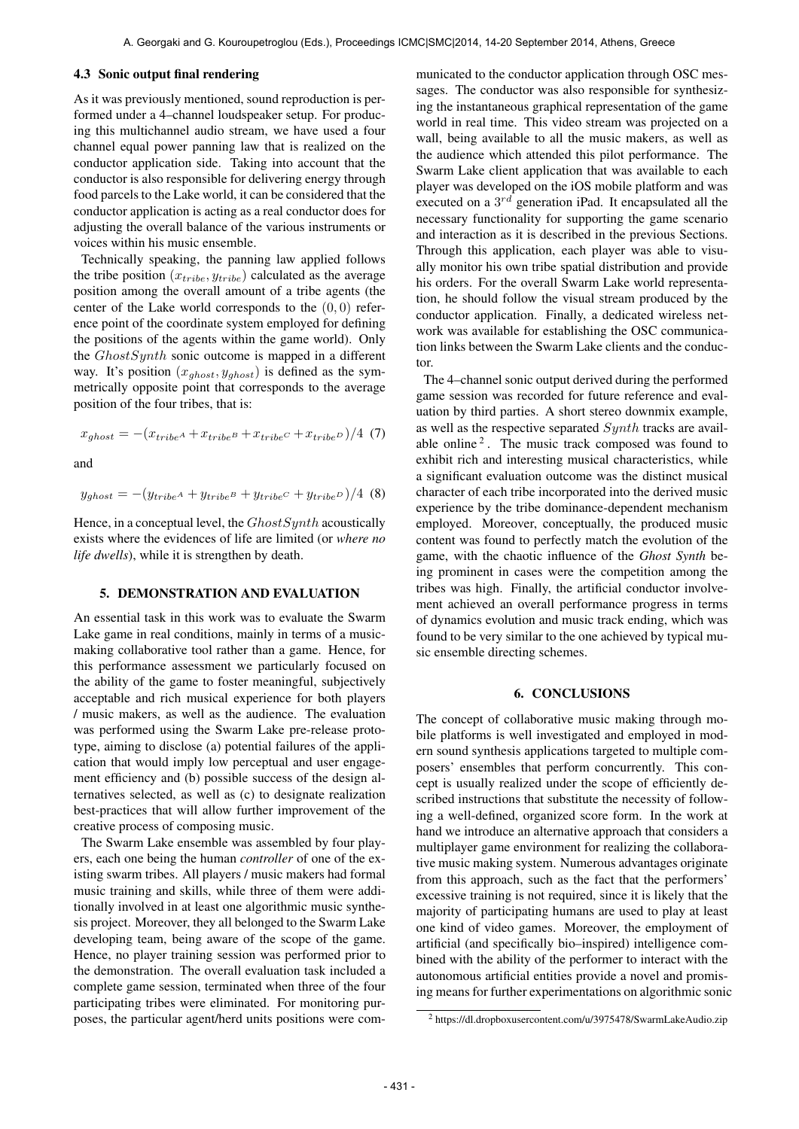#### 4.3 Sonic output final rendering

As it was previously mentioned, sound reproduction is performed under a 4–channel loudspeaker setup. For producing this multichannel audio stream, we have used a four channel equal power panning law that is realized on the conductor application side. Taking into account that the conductor is also responsible for delivering energy through food parcels to the Lake world, it can be considered that the conductor application is acting as a real conductor does for adjusting the overall balance of the various instruments or voices within his music ensemble.

Technically speaking, the panning law applied follows the tribe position  $(x_{tribe}, y_{tribe})$  calculated as the average position among the overall amount of a tribe agents (the center of the Lake world corresponds to the  $(0, 0)$  reference point of the coordinate system employed for defining the positions of the agents within the game world). Only the GhostSynth sonic outcome is mapped in a different way. It's position  $(x_{ghost}, y_{ghost})$  is defined as the symmetrically opposite point that corresponds to the average position of the four tribes, that is:

$$
x_{ghost} = -(x_{tribe} + x_{tribe} + x_{tribe} + x_{tribe} + x_{tribe})/4
$$
 (7)

and

$$
y_{ghost} = -(y_{tribe^A} + y_{tribe^B} + y_{tribe^C} + y_{tribe^D})/4
$$
 (8)

Hence, in a conceptual level, the  $GhostSynth$  acoustically exists where the evidences of life are limited (or *where no life dwells*), while it is strengthen by death.

# 5. DEMONSTRATION AND EVALUATION

An essential task in this work was to evaluate the Swarm Lake game in real conditions, mainly in terms of a musicmaking collaborative tool rather than a game. Hence, for this performance assessment we particularly focused on the ability of the game to foster meaningful, subjectively acceptable and rich musical experience for both players / music makers, as well as the audience. The evaluation was performed using the Swarm Lake pre-release prototype, aiming to disclose (a) potential failures of the application that would imply low perceptual and user engagement efficiency and (b) possible success of the design alternatives selected, as well as (c) to designate realization best-practices that will allow further improvement of the creative process of composing music.

The Swarm Lake ensemble was assembled by four players, each one being the human *controller* of one of the existing swarm tribes. All players / music makers had formal music training and skills, while three of them were additionally involved in at least one algorithmic music synthesis project. Moreover, they all belonged to the Swarm Lake developing team, being aware of the scope of the game. Hence, no player training session was performed prior to the demonstration. The overall evaluation task included a complete game session, terminated when three of the four participating tribes were eliminated. For monitoring purposes, the particular agent/herd units positions were communicated to the conductor application through OSC messages. The conductor was also responsible for synthesizing the instantaneous graphical representation of the game world in real time. This video stream was projected on a wall, being available to all the music makers, as well as the audience which attended this pilot performance. The Swarm Lake client application that was available to each player was developed on the iOS mobile platform and was executed on a  $3^{rd}$  generation iPad. It encapsulated all the necessary functionality for supporting the game scenario and interaction as it is described in the previous Sections. Through this application, each player was able to visually monitor his own tribe spatial distribution and provide his orders. For the overall Swarm Lake world representation, he should follow the visual stream produced by the conductor application. Finally, a dedicated wireless network was available for establishing the OSC communication links between the Swarm Lake clients and the conductor.

The 4–channel sonic output derived during the performed game session was recorded for future reference and evaluation by third parties. A short stereo downmix example, as well as the respective separated Synth tracks are available online<sup>2</sup>. The music track composed was found to exhibit rich and interesting musical characteristics, while a significant evaluation outcome was the distinct musical character of each tribe incorporated into the derived music experience by the tribe dominance-dependent mechanism employed. Moreover, conceptually, the produced music content was found to perfectly match the evolution of the game, with the chaotic influence of the *Ghost Synth* being prominent in cases were the competition among the tribes was high. Finally, the artificial conductor involvement achieved an overall performance progress in terms of dynamics evolution and music track ending, which was found to be very similar to the one achieved by typical music ensemble directing schemes.

#### 6. CONCLUSIONS

The concept of collaborative music making through mobile platforms is well investigated and employed in modern sound synthesis applications targeted to multiple composers' ensembles that perform concurrently. This concept is usually realized under the scope of efficiently described instructions that substitute the necessity of following a well-defined, organized score form. In the work at hand we introduce an alternative approach that considers a multiplayer game environment for realizing the collaborative music making system. Numerous advantages originate from this approach, such as the fact that the performers' excessive training is not required, since it is likely that the majority of participating humans are used to play at least one kind of video games. Moreover, the employment of artificial (and specifically bio–inspired) intelligence combined with the ability of the performer to interact with the autonomous artificial entities provide a novel and promising means for further experimentations on algorithmic sonic

<sup>2</sup> https://dl.dropboxusercontent.com/u/3975478/SwarmLakeAudio.zip